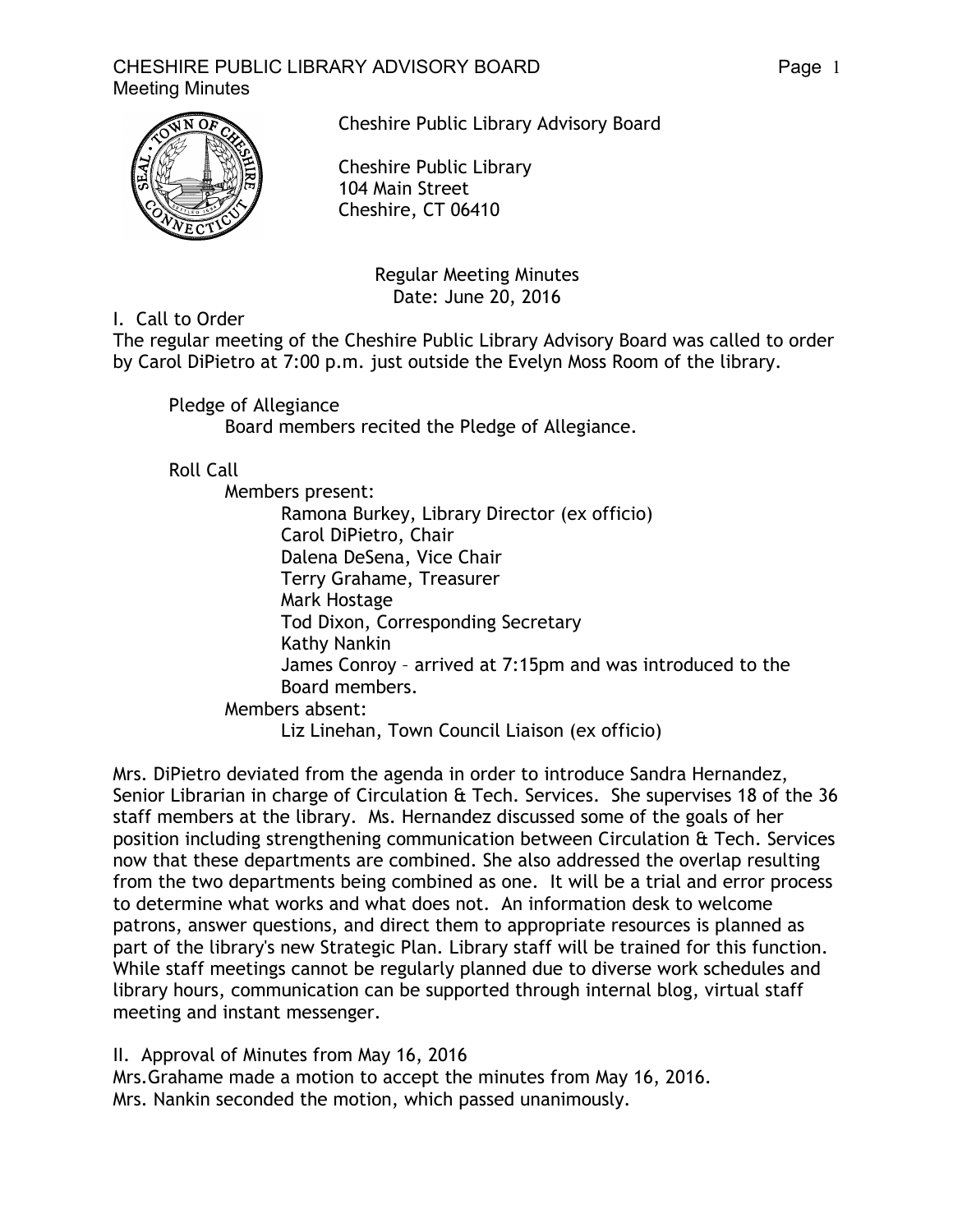

Cheshire Public Library Advisory Board

Cheshire Public Library 104 Main Street Cheshire, CT 06410

> Regular Meeting Minutes Date: June 20, 2016

I. Call to Order

The regular meeting of the Cheshire Public Library Advisory Board was called to order by Carol DiPietro at 7:00 p.m. just outside the Evelyn Moss Room of the library.

Pledge of Allegiance

Board members recited the Pledge of Allegiance.

Roll Call

Members present: Ramona Burkey, Library Director (ex officio) Carol DiPietro, Chair Dalena DeSena, Vice Chair Terry Grahame, Treasurer Mark Hostage Tod Dixon, Corresponding Secretary Kathy Nankin James Conroy – arrived at 7:15pm and was introduced to the Board members. Members absent:

Liz Linehan, Town Council Liaison (ex officio)

Mrs. DiPietro deviated from the agenda in order to introduce Sandra Hernandez, Senior Librarian in charge of Circulation & Tech. Services. She supervises 18 of the 36 staff members at the library. Ms. Hernandez discussed some of the goals of her position including strengthening communication between Circulation & Tech. Services now that these departments are combined. She also addressed the overlap resulting from the two departments being combined as one. It will be a trial and error process to determine what works and what does not. An information desk to welcome patrons, answer questions, and direct them to appropriate resources is planned as part of the library's new Strategic Plan. Library staff will be trained for this function. While staff meetings cannot be regularly planned due to diverse work schedules and library hours, communication can be supported through internal blog, virtual staff meeting and instant messenger.

II. Approval of Minutes from May 16, 2016

Mrs.Grahame made a motion to accept the minutes from May 16, 2016. Mrs. Nankin seconded the motion, which passed unanimously.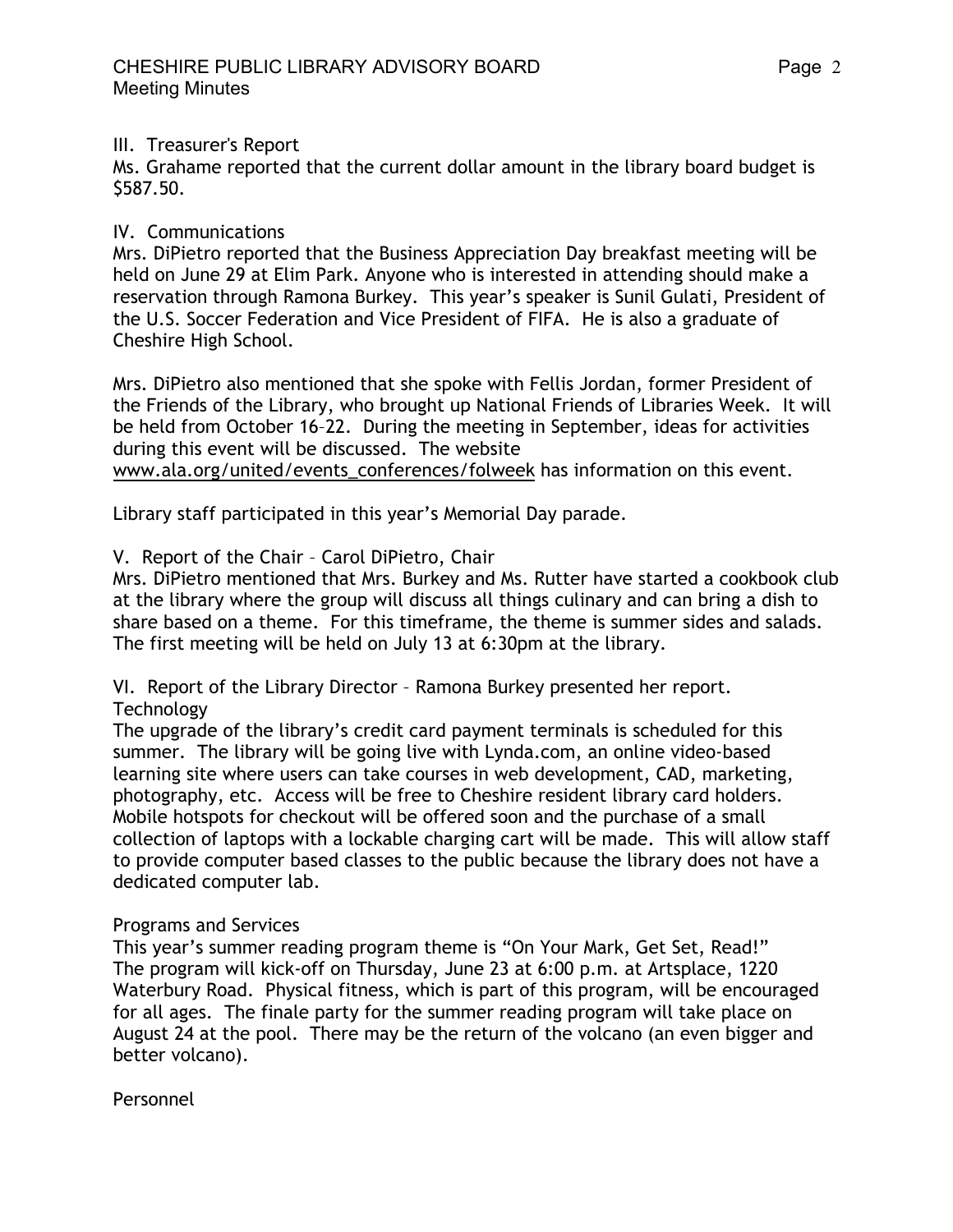## III. Treasurer's Report

Ms. Grahame reported that the current dollar amount in the library board budget is \$587.50.

# IV. Communications

Mrs. DiPietro reported that the Business Appreciation Day breakfast meeting will be held on June 29 at Elim Park. Anyone who is interested in attending should make a reservation through Ramona Burkey. This year's speaker is Sunil Gulati, President of the U.S. Soccer Federation and Vice President of FIFA. He is also a graduate of Cheshire High School.

Mrs. DiPietro also mentioned that she spoke with Fellis Jordan, former President of the Friends of the Library, who brought up National Friends of Libraries Week. It will be held from October 16–22. During the meeting in September, ideas for activities during this event will be discussed. The website www.ala.org/united/events\_conferences/folweek has information on this event.

Library staff participated in this year's Memorial Day parade.

## V. Report of the Chair – Carol DiPietro, Chair

Mrs. DiPietro mentioned that Mrs. Burkey and Ms. Rutter have started a cookbook club at the library where the group will discuss all things culinary and can bring a dish to share based on a theme. For this timeframe, the theme is summer sides and salads. The first meeting will be held on July 13 at 6:30pm at the library.

VI. Report of the Library Director – Ramona Burkey presented her report. **Technology** 

The upgrade of the library's credit card payment terminals is scheduled for this summer. The library will be going live with Lynda.com, an online video-based learning site where users can take courses in web development, CAD, marketing, photography, etc. Access will be free to Cheshire resident library card holders. Mobile hotspots for checkout will be offered soon and the purchase of a small collection of laptops with a lockable charging cart will be made. This will allow staff to provide computer based classes to the public because the library does not have a dedicated computer lab.

## Programs and Services

This year's summer reading program theme is "On Your Mark, Get Set, Read!" The program will kick-off on Thursday, June 23 at 6:00 p.m. at Artsplace, 1220 Waterbury Road. Physical fitness, which is part of this program, will be encouraged for all ages. The finale party for the summer reading program will take place on August 24 at the pool. There may be the return of the volcano (an even bigger and better volcano).

Personnel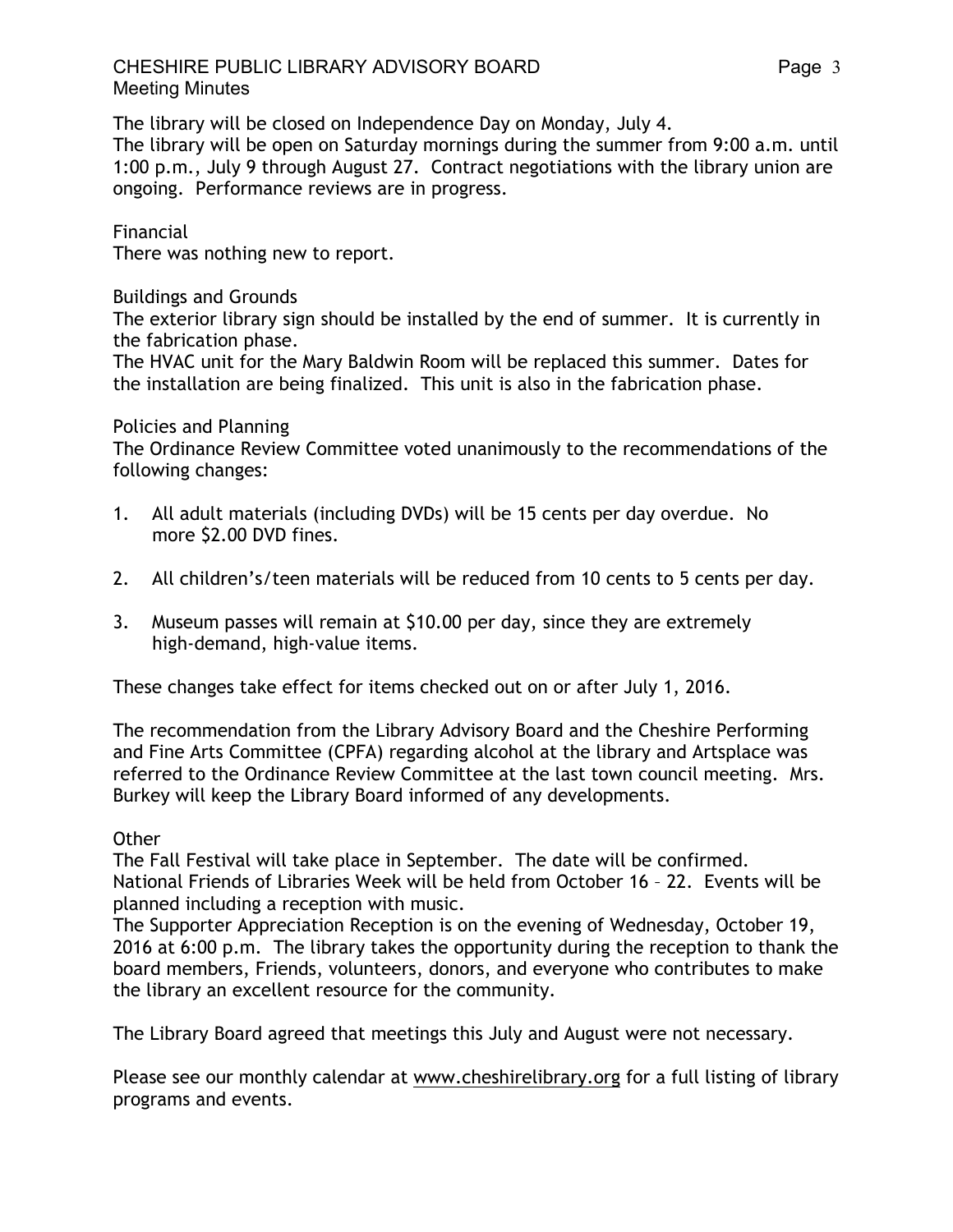The library will be closed on Independence Day on Monday, July 4.

The library will be open on Saturday mornings during the summer from 9:00 a.m. until 1:00 p.m., July 9 through August 27. Contract negotiations with the library union are ongoing. Performance reviews are in progress.

## Financial

There was nothing new to report.

### Buildings and Grounds

The exterior library sign should be installed by the end of summer. It is currently in the fabrication phase.

The HVAC unit for the Mary Baldwin Room will be replaced this summer. Dates for the installation are being finalized. This unit is also in the fabrication phase.

#### Policies and Planning

The Ordinance Review Committee voted unanimously to the recommendations of the following changes:

- 1. All adult materials (including DVDs) will be 15 cents per day overdue. No more \$2.00 DVD fines.
- 2. All children's/teen materials will be reduced from 10 cents to 5 cents per day.
- 3. Museum passes will remain at \$10.00 per day, since they are extremely high-demand, high-value items.

These changes take effect for items checked out on or after July 1, 2016.

The recommendation from the Library Advisory Board and the Cheshire Performing and Fine Arts Committee (CPFA) regarding alcohol at the library and Artsplace was referred to the Ordinance Review Committee at the last town council meeting. Mrs. Burkey will keep the Library Board informed of any developments.

#### **Other**

The Fall Festival will take place in September. The date will be confirmed. National Friends of Libraries Week will be held from October 16 – 22. Events will be planned including a reception with music.

The Supporter Appreciation Reception is on the evening of Wednesday, October 19, 2016 at 6:00 p.m. The library takes the opportunity during the reception to thank the board members, Friends, volunteers, donors, and everyone who contributes to make the library an excellent resource for the community.

The Library Board agreed that meetings this July and August were not necessary.

Please see our monthly calendar at www.cheshirelibrary.org for a full listing of library programs and events.